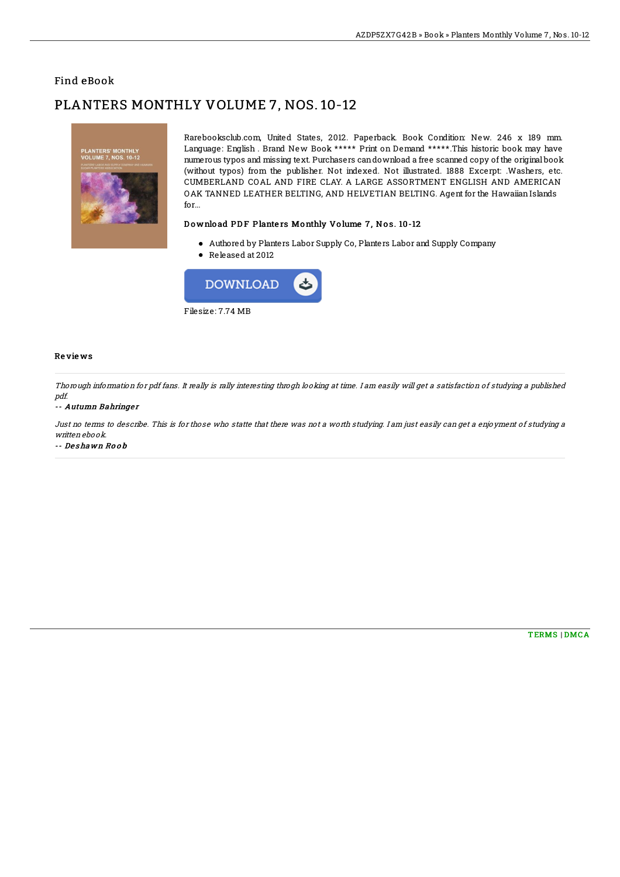## Find eBook

# PLANTERS MONTHLY VOLUME 7, NOS. 10-12



Rarebooksclub.com, United States, 2012. Paperback. Book Condition: New. 246 x 189 mm. Language: English . Brand New Book \*\*\*\*\* Print on Demand \*\*\*\*\*.This historic book may have numerous typos and missing text. Purchasers candownload a free scanned copy of the original book (without typos) from the publisher. Not indexed. Not illustrated. 1888 Excerpt: .Washers, etc. CUMBERLAND COAL AND FIRE CLAY. A LARGE ASSORTMENT ENGLISH AND AMERICAN OAK TANNED LEATHER BELTING, AND HELVETIAN BELTING. Agent for the Hawaiian Islands for...

### Download PDF Planters Monthly Volume 7, Nos. 10-12

- Authored by Planters Labor Supply Co, Planters Labor and Supply Company
- Released at 2012



#### Re vie ws

Thorough information for pdf fans. It really is rally interesting throgh looking at time. I am easily will get <sup>a</sup> satisfaction of studying <sup>a</sup> published pdf.

#### -- Autumn Bahringer

Just no terms to describe. This is for those who statte that there was not <sup>a</sup> worth studying. I am just easily can get <sup>a</sup> enjoyment of studying <sup>a</sup> written ebook.

-- De s hawn Ro o b